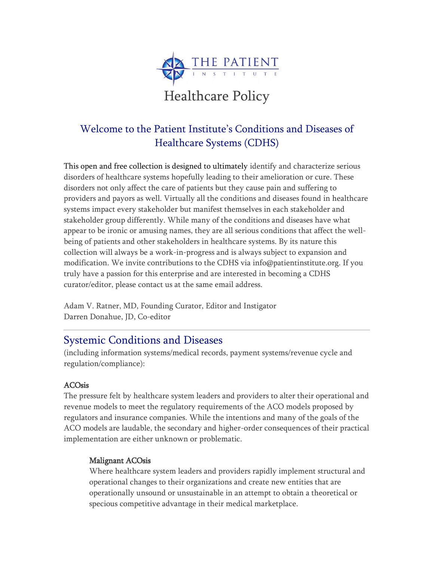

# Welcome to the Patient Institute's Conditions and Diseases of Healthcare Systems (CDHS)

This open and free collection is designed to ultimately identify and characterize serious disorders of healthcare systems hopefully leading to their amelioration or cure. These disorders not only affect the care of patients but they cause pain and suffering to providers and payors as well. Virtually all the conditions and diseases found in healthcare systems impact every stakeholder but manifest themselves in each stakeholder and stakeholder group differently. While many of the conditions and diseases have what appear to be ironic or amusing names, they are all serious conditions that affect the wellbeing of patients and other stakeholders in healthcare systems. By its nature this collection will always be a work-in-progress and is always subject to expansion and modification. We invite contributions to the CDHS via info@patientinstitute.org. If you truly have a passion for this enterprise and are interested in becoming a CDHS curator/editor, please contact us at the same email address.

Adam V. Ratner, MD, Founding Curator, Editor and Instigator Darren Donahue, JD, Co-editor

# Systemic Conditions and Diseases

(including information systems/medical records, payment systems/revenue cycle and regulation/compliance):

## ACOsis

The pressure felt by healthcare system leaders and providers to alter their operational and revenue models to meet the regulatory requirements of the ACO models proposed by regulators and insurance companies. While the intentions and many of the goals of the ACO models are laudable, the secondary and higher-order consequences of their practical implementation are either unknown or problematic.

## Malignant ACOsis

Where healthcare system leaders and providers rapidly implement structural and operational changes to their organizations and create new entities that are operationally unsound or unsustainable in an attempt to obtain a theoretical or specious competitive advantage in their medical marketplace.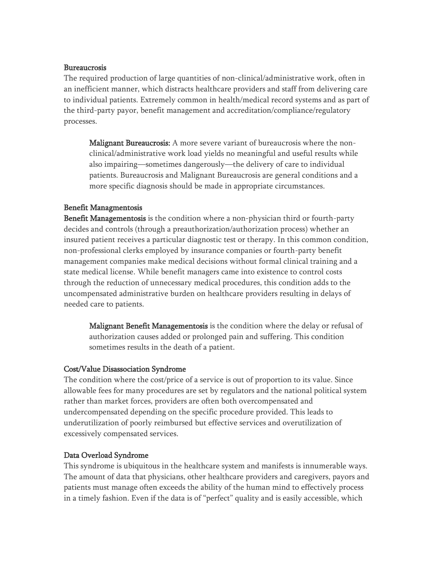#### Bureaucrosis

The required production of large quantities of non-clinical/administrative work, often in an inefficient manner, which distracts healthcare providers and staff from delivering care to individual patients. Extremely common in health/medical record systems and as part of the third-party payor, benefit management and accreditation/compliance/regulatory processes.

Malignant Bureaucrosis: A more severe variant of bureaucrosis where the nonclinical/administrative work load yields no meaningful and useful results while also impairing—sometimes dangerously—the delivery of care to individual patients. Bureaucrosis and Malignant Bureaucrosis are general conditions and a more specific diagnosis should be made in appropriate circumstances.

### Benefit Managmentosis

Benefit Managementosis is the condition where a non-physician third or fourth-party decides and controls (through a preauthorization/authorization process) whether an insured patient receives a particular diagnostic test or therapy. In this common condition, non-professional clerks employed by insurance companies or fourth-party benefit management companies make medical decisions without formal clinical training and a state medical license. While benefit managers came into existence to control costs through the reduction of unnecessary medical procedures, this condition adds to the uncompensated administrative burden on healthcare providers resulting in delays of needed care to patients.

Malignant Benefit Managementosis is the condition where the delay or refusal of authorization causes added or prolonged pain and suffering. This condition sometimes results in the death of a patient.

#### Cost/Value Disassociation Syndrome

The condition where the cost/price of a service is out of proportion to its value. Since allowable fees for many procedures are set by regulators and the national political system rather than market forces, providers are often both overcompensated and undercompensated depending on the specific procedure provided. This leads to underutilization of poorly reimbursed but effective services and overutilization of excessively compensated services.

### Data Overload Syndrome

This syndrome is ubiquitous in the healthcare system and manifests is innumerable ways. The amount of data that physicians, other healthcare providers and caregivers, payors and patients must manage often exceeds the ability of the human mind to effectively process in a timely fashion. Even if the data is of "perfect" quality and is easily accessible, which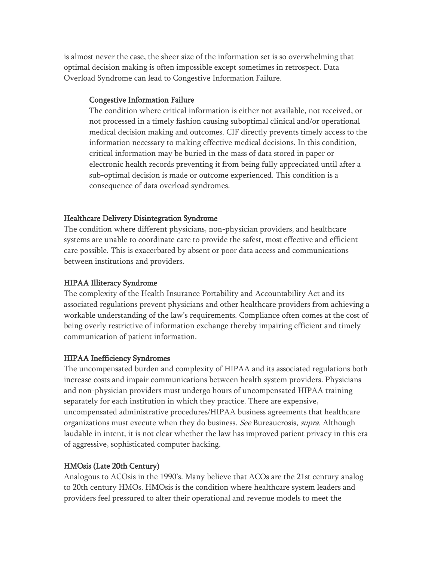is almost never the case, the sheer size of the information set is so overwhelming that optimal decision making is often impossible except sometimes in retrospect. Data Overload Syndrome can lead to Congestive Information Failure.

### Congestive Information Failure

The condition where critical information is either not available, not received, or not processed in a timely fashion causing suboptimal clinical and/or operational medical decision making and outcomes. CIF directly prevents timely access to the information necessary to making effective medical decisions. In this condition, critical information may be buried in the mass of data stored in paper or electronic health records preventing it from being fully appreciated until after a sub-optimal decision is made or outcome experienced. This condition is a consequence of data overload syndromes.

### Healthcare Delivery Disintegration Syndrome

The condition where different physicians, non-physician providers, and healthcare systems are unable to coordinate care to provide the safest, most effective and efficient care possible. This is exacerbated by absent or poor data access and communications between institutions and providers.

### HIPAA Illiteracy Syndrome

The complexity of the Health Insurance Portability and Accountability Act and its associated regulations prevent physicians and other healthcare providers from achieving a workable understanding of the law's requirements. Compliance often comes at the cost of being overly restrictive of information exchange thereby impairing efficient and timely communication of patient information.

### HIPAA Inefficiency Syndromes

The uncompensated burden and complexity of HIPAA and its associated regulations both increase costs and impair communications between health system providers. Physicians and non-physician providers must undergo hours of uncompensated HIPAA training separately for each institution in which they practice. There are expensive, uncompensated administrative procedures/HIPAA business agreements that healthcare organizations must execute when they do business. See Bureaucrosis, supra. Although laudable in intent, it is not clear whether the law has improved patient privacy in this era of aggressive, sophisticated computer hacking.

### HMOsis (Late 20th Century)

Analogous to ACOsis in the 1990's. Many believe that ACOs are the 21st century analog to 20th century HMOs. HMOsis is the condition where healthcare system leaders and providers feel pressured to alter their operational and revenue models to meet the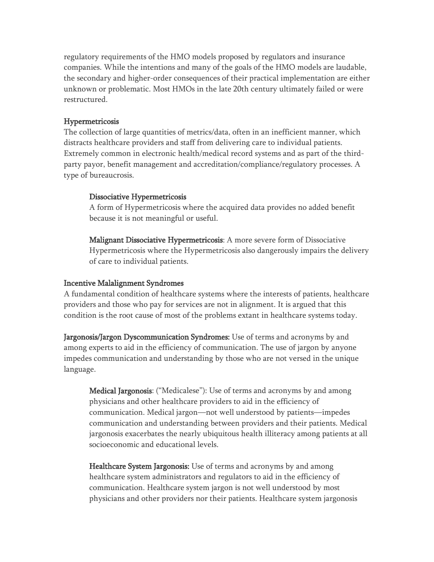regulatory requirements of the HMO models proposed by regulators and insurance companies. While the intentions and many of the goals of the HMO models are laudable, the secondary and higher-order consequences of their practical implementation are either unknown or problematic. Most HMOs in the late 20th century ultimately failed or were restructured.

### Hypermetricosis

The collection of large quantities of metrics/data, often in an inefficient manner, which distracts healthcare providers and staff from delivering care to individual patients. Extremely common in electronic health/medical record systems and as part of the thirdparty payor, benefit management and accreditation/compliance/regulatory processes. A type of bureaucrosis.

### Dissociative Hypermetricosis

A form of Hypermetricosis where the acquired data provides no added benefit because it is not meaningful or useful.

Malignant Dissociative Hypermetricosis: A more severe form of Dissociative Hypermetricosis where the Hypermetricosis also dangerously impairs the delivery of care to individual patients.

### Incentive Malalignment Syndromes

A fundamental condition of healthcare systems where the interests of patients, healthcare providers and those who pay for services are not in alignment. It is argued that this condition is the root cause of most of the problems extant in healthcare systems today.

Jargonosis/Jargon Dyscommunication Syndromes: Use of terms and acronyms by and among experts to aid in the efficiency of communication. The use of jargon by anyone impedes communication and understanding by those who are not versed in the unique language.

Medical Jargonosis: ("Medicalese"): Use of terms and acronyms by and among physicians and other healthcare providers to aid in the efficiency of communication. Medical jargon—not well understood by patients—impedes communication and understanding between providers and their patients. Medical jargonosis exacerbates the nearly ubiquitous health illiteracy among patients at all socioeconomic and educational levels.

Healthcare System Jargonosis: Use of terms and acronyms by and among healthcare system administrators and regulators to aid in the efficiency of communication. Healthcare system jargon is not well understood by most physicians and other providers nor their patients. Healthcare system jargonosis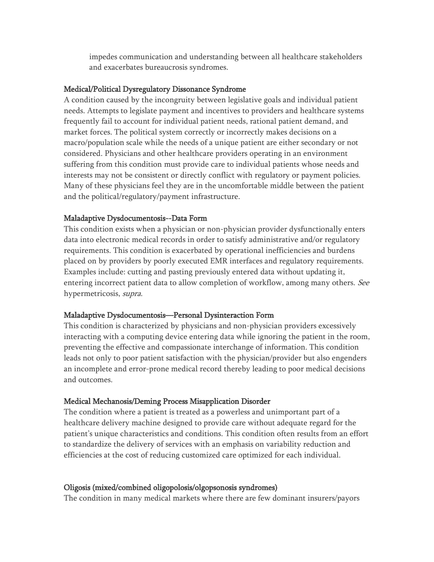impedes communication and understanding between all healthcare stakeholders and exacerbates bureaucrosis syndromes.

#### Medical/Political Dysregulatory Dissonance Syndrome

A condition caused by the incongruity between legislative goals and individual patient needs. Attempts to legislate payment and incentives to providers and healthcare systems frequently fail to account for individual patient needs, rational patient demand, and market forces. The political system correctly or incorrectly makes decisions on a macro/population scale while the needs of a unique patient are either secondary or not considered. Physicians and other healthcare providers operating in an environment suffering from this condition must provide care to individual patients whose needs and interests may not be consistent or directly conflict with regulatory or payment policies. Many of these physicians feel they are in the uncomfortable middle between the patient and the political/regulatory/payment infrastructure.

#### Maladaptive Dysdocumentosis--Data Form

This condition exists when a physician or non-physician provider dysfunctionally enters data into electronic medical records in order to satisfy administrative and/or regulatory requirements. This condition is exacerbated by operational inefficiencies and burdens placed on by providers by poorly executed EMR interfaces and regulatory requirements. Examples include: cutting and pasting previously entered data without updating it, entering incorrect patient data to allow completion of workflow, among many others. See hypermetricosis, supra.

#### Maladaptive Dysdocumentosis—Personal Dysinteraction Form

This condition is characterized by physicians and non-physician providers excessively interacting with a computing device entering data while ignoring the patient in the room, preventing the effective and compassionate interchange of information. This condition leads not only to poor patient satisfaction with the physician/provider but also engenders an incomplete and error-prone medical record thereby leading to poor medical decisions and outcomes.

#### Medical Mechanosis/Deming Process Misapplication Disorder

The condition where a patient is treated as a powerless and unimportant part of a healthcare delivery machine designed to provide care without adequate regard for the patient's unique characteristics and conditions. This condition often results from an effort to standardize the delivery of services with an emphasis on variability reduction and efficiencies at the cost of reducing customized care optimized for each individual.

#### Oligosis (mixed/combined oligopolosis/olgopsonosis syndromes)

The condition in many medical markets where there are few dominant insurers/payors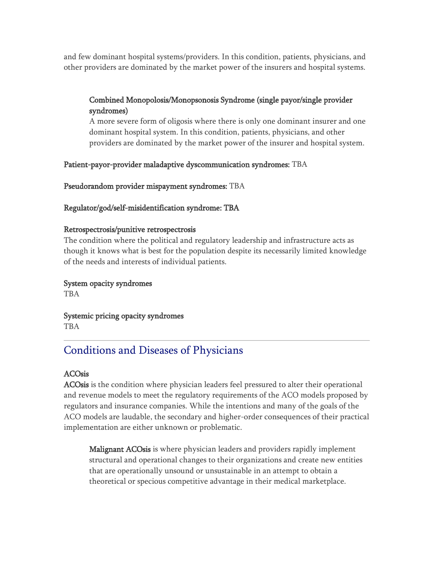and few dominant hospital systems/providers. In this condition, patients, physicians, and other providers are dominated by the market power of the insurers and hospital systems.

## Combined Monopolosis/Monopsonosis Syndrome (single payor/single provider syndromes)

A more severe form of oligosis where there is only one dominant insurer and one dominant hospital system. In this condition, patients, physicians, and other providers are dominated by the market power of the insurer and hospital system.

### Patient-payor-provider maladaptive dyscommunication syndromes: TBA

Pseudorandom provider mispayment syndromes: TBA

### Regulator/god/self-misidentification syndrome: TBA

### Retrospectrosis/punitive retrospectrosis

The condition where the political and regulatory leadership and infrastructure acts as though it knows what is best for the population despite its necessarily limited knowledge of the needs and interests of individual patients.

# System opacity syndromes

TBA

Systemic pricing opacity syndromes TBA

# Conditions and Diseases of Physicians

## ACOsis

ACOsis is the condition where physician leaders feel pressured to alter their operational and revenue models to meet the regulatory requirements of the ACO models proposed by regulators and insurance companies. While the intentions and many of the goals of the ACO models are laudable, the secondary and higher-order consequences of their practical implementation are either unknown or problematic.

Malignant ACOsis is where physician leaders and providers rapidly implement structural and operational changes to their organizations and create new entities that are operationally unsound or unsustainable in an attempt to obtain a theoretical or specious competitive advantage in their medical marketplace.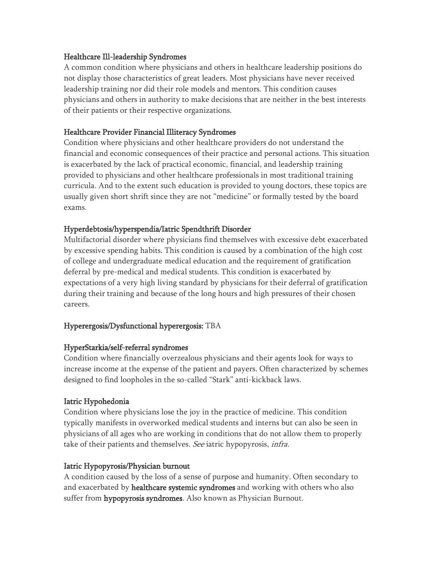### Healthcare Ill-leadership Syndromes

A common condition where physicians and others in healthcare leadership positions do not display those characteristics of great leaders. Most physicians have never received leadership training nor did their role models and mentors. This condition causes physicians and others in authority to make decisions that are neither in the best interests of their patients or their respective organizations.

### Healthcare Provider Financial Illiteracy Syndromes

Condition where physicians and other healthcare providers do not understand the financial and economic consequences of their practice and personal actions. This situation is exacerbated by the lack of practical economic, financial, and leadership training provided to physicians and other healthcare professionals in most traditional training curricula. And to the extent such education is provided to young doctors, these topics are usually given short shrift since they are not "medicine" or formally tested by the board exams.

### Hyperdebtosis/hyperspendia/Iatric Spendthrift Disorder

Multifactorial disorder where physicians find themselves with excessive debt exacerbated by excessive spending habits. This condition is caused by a combination of the high cost of college and undergraduate medical education and the requirement of gratification deferral by pre-medical and medical students. This condition is exacerbated by expectations of a very high living standard by physicians for their deferral of gratification during their training and because of the long hours and high pressures of their chosen careers.

### Hyperergosis/Dysfunctional hyperergosis: TBA

### HyperStarkia/self-referral syndromes

Condition where financially overzealous physicians and their agents look for ways to increase income at the expense of the patient and payers. Often characterized by schemes designed to find loopholes in the so-called "Stark" anti-kickback laws.

### Iatric Hypohedonia

Condition where physicians lose the joy in the practice of medicine. This condition typically manifests in overworked medical students and interns but can also be seen in physicians of all ages who are working in conditions that do not allow them to properly take of their patients and themselves. See iatric hypopyrosis, infra.

### Iatric Hypopyrosis/Physician burnout

A condition caused by the loss of a sense of purpose and humanity. Often secondary to and exacerbated by healthcare systemic syndromes and working with others who also suffer from **hypopyrosis syndromes**. Also known as Physician Burnout.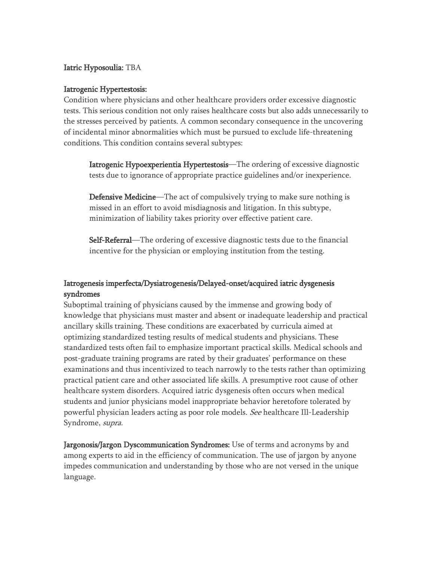### Iatric Hyposoulia: TBA

### Iatrogenic Hypertestosis:

Condition where physicians and other healthcare providers order excessive diagnostic tests. This serious condition not only raises healthcare costs but also adds unnecessarily to the stresses perceived by patients. A common secondary consequence in the uncovering of incidental minor abnormalities which must be pursued to exclude life-threatening conditions. This condition contains several subtypes:

Iatrogenic Hypoexperientia Hypertestosis—The ordering of excessive diagnostic tests due to ignorance of appropriate practice guidelines and/or inexperience.

Defensive Medicine—The act of compulsively trying to make sure nothing is missed in an effort to avoid misdiagnosis and litigation. In this subtype, minimization of liability takes priority over effective patient care.

Self-Referral—The ordering of excessive diagnostic tests due to the financial incentive for the physician or employing institution from the testing.

### Iatrogenesis imperfecta/Dysiatrogenesis/Delayed-onset/acquired iatric dysgenesis syndromes

Suboptimal training of physicians caused by the immense and growing body of knowledge that physicians must master and absent or inadequate leadership and practical ancillary skills training. These conditions are exacerbated by curricula aimed at optimizing standardized testing results of medical students and physicians. These standardized tests often fail to emphasize important practical skills. Medical schools and post-graduate training programs are rated by their graduates' performance on these examinations and thus incentivized to teach narrowly to the tests rather than optimizing practical patient care and other associated life skills. A presumptive root cause of other healthcare system disorders. Acquired iatric dysgenesis often occurs when medical students and junior physicians model inappropriate behavior heretofore tolerated by powerful physician leaders acting as poor role models. See healthcare Ill-Leadership Syndrome, supra.

Jargonosis/Jargon Dyscommunication Syndromes: Use of terms and acronyms by and among experts to aid in the efficiency of communication. The use of jargon by anyone impedes communication and understanding by those who are not versed in the unique language.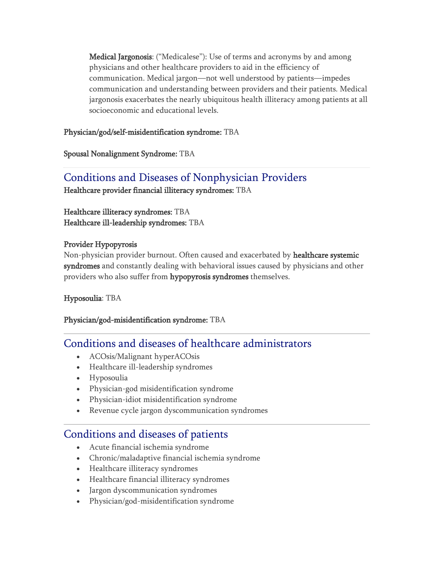Medical Jargonosis: ("Medicalese"): Use of terms and acronyms by and among physicians and other healthcare providers to aid in the efficiency of communication. Medical jargon—not well understood by patients—impedes communication and understanding between providers and their patients. Medical jargonosis exacerbates the nearly ubiquitous health illiteracy among patients at all socioeconomic and educational levels.

Physician/god/self-misidentification syndrome: TBA

Spousal Nonalignment Syndrome: TBA

# Conditions and Diseases of Nonphysician Providers

Healthcare provider financial illiteracy syndromes: TBA

Healthcare illiteracy syndromes: TBA Healthcare ill-leadership syndromes: TBA

## Provider Hypopyrosis

Non-physician provider burnout. Often caused and exacerbated by healthcare systemic syndromes and constantly dealing with behavioral issues caused by physicians and other providers who also suffer from hypopyrosis syndromes themselves.

## Hyposoulia: TBA

## Physician/god-misidentification syndrome: TBA

# Conditions and diseases of healthcare administrators

- ACOsis/Malignant hyperACOsis
- Healthcare ill-leadership syndromes
- Hyposoulia
- Physician-god misidentification syndrome
- Physician-idiot misidentification syndrome
- Revenue cycle jargon dyscommunication syndromes

# Conditions and diseases of patients

- Acute financial ischemia syndrome
- Chronic/maladaptive financial ischemia syndrome
- Healthcare illiteracy syndromes
- Healthcare financial illiteracy syndromes
- Jargon dyscommunication syndromes
- Physician/god-misidentification syndrome